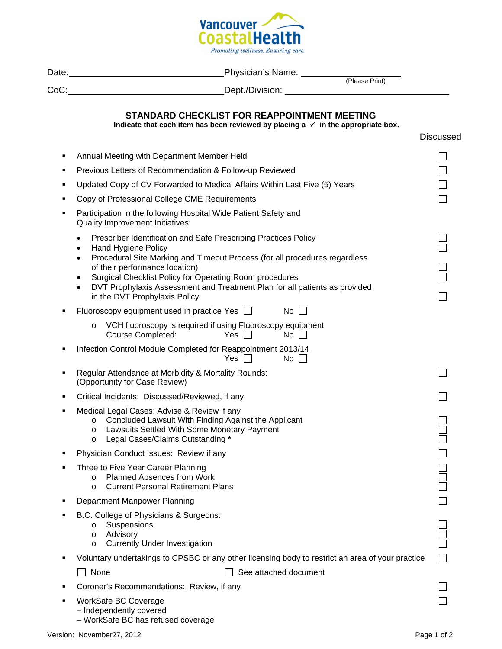

|   | Tromoting wettness. Ensuring care.                                                                                                                                                                                                                                                                                                                                                                                                        |           |  |
|---|-------------------------------------------------------------------------------------------------------------------------------------------------------------------------------------------------------------------------------------------------------------------------------------------------------------------------------------------------------------------------------------------------------------------------------------------|-----------|--|
|   |                                                                                                                                                                                                                                                                                                                                                                                                                                           |           |  |
|   |                                                                                                                                                                                                                                                                                                                                                                                                                                           |           |  |
|   | STANDARD CHECKLIST FOR REAPPOINTMENT MEETING<br>Indicate that each item has been reviewed by placing $a \checkmark$ in the appropriate box.                                                                                                                                                                                                                                                                                               | Discussed |  |
| ٠ | Annual Meeting with Department Member Held                                                                                                                                                                                                                                                                                                                                                                                                |           |  |
| п | Previous Letters of Recommendation & Follow-up Reviewed                                                                                                                                                                                                                                                                                                                                                                                   |           |  |
| ٠ | Updated Copy of CV Forwarded to Medical Affairs Within Last Five (5) Years                                                                                                                                                                                                                                                                                                                                                                |           |  |
| ■ | Copy of Professional College CME Requirements                                                                                                                                                                                                                                                                                                                                                                                             |           |  |
| ٠ | Participation in the following Hospital Wide Patient Safety and<br>Quality Improvement Initiatives:                                                                                                                                                                                                                                                                                                                                       |           |  |
|   | Prescriber Identification and Safe Prescribing Practices Policy<br>$\bullet$<br>Hand Hygiene Policy<br>$\bullet$<br>Procedural Site Marking and Timeout Process (for all procedures regardless<br>$\bullet$<br>of their performance location)<br>Surgical Checklist Policy for Operating Room procedures<br>٠<br>DVT Prophylaxis Assessment and Treatment Plan for all patients as provided<br>$\bullet$<br>in the DVT Prophylaxis Policy |           |  |
| ٠ | Fluoroscopy equipment used in practice Yes □<br>$No$ $\Box$                                                                                                                                                                                                                                                                                                                                                                               |           |  |
|   | VCH fluoroscopy is required if using Fluoroscopy equipment.<br>$\circ$<br>Course Completed:<br>Yes $\Box$<br>No $\Box$                                                                                                                                                                                                                                                                                                                    |           |  |
| ٠ | Infection Control Module Completed for Reappointment 2013/14<br>$No \ \Box$<br>$Yes$ $\Box$                                                                                                                                                                                                                                                                                                                                               |           |  |
| ٠ | Regular Attendance at Morbidity & Mortality Rounds:<br>(Opportunity for Case Review)                                                                                                                                                                                                                                                                                                                                                      |           |  |
| ٠ | Critical Incidents: Discussed/Reviewed, if any                                                                                                                                                                                                                                                                                                                                                                                            |           |  |
|   | Medical Legal Cases: Advise & Review if any<br>Concluded Lawsuit With Finding Against the Applicant<br>O<br>Lawsuits Settled With Some Monetary Payment<br>$\circ$<br>Legal Cases/Claims Outstanding *<br>$\circ$                                                                                                                                                                                                                         |           |  |
| ٠ | Physician Conduct Issues: Review if any                                                                                                                                                                                                                                                                                                                                                                                                   |           |  |
| ٠ | Three to Five Year Career Planning<br><b>Planned Absences from Work</b><br>$\circ$<br><b>Current Personal Retirement Plans</b><br>$\circ$                                                                                                                                                                                                                                                                                                 |           |  |
| ■ | Department Manpower Planning                                                                                                                                                                                                                                                                                                                                                                                                              |           |  |
|   | B.C. College of Physicians & Surgeons:<br>Suspensions<br>O<br>Advisory<br>$\circ$<br><b>Currently Under Investigation</b><br>$\circ$                                                                                                                                                                                                                                                                                                      |           |  |
|   | Voluntary undertakings to CPSBC or any other licensing body to restrict an area of your practice                                                                                                                                                                                                                                                                                                                                          |           |  |
|   | None<br>See attached document                                                                                                                                                                                                                                                                                                                                                                                                             |           |  |

- **Coroner's Recommendations: Review, if any**
- WorkSafe BC Coverage
	- Independently covered
	- WorkSafe BC has refused coverage

 $\Box$  $\Box$